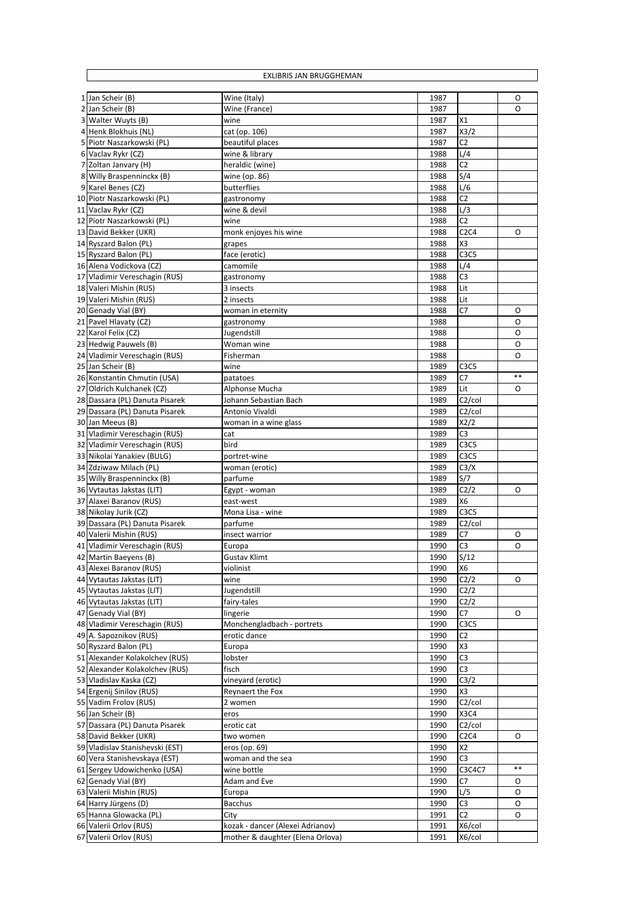| EXLIBRIS JAN BRUGGHEMAN                                 |                                  |              |                                                      |       |  |  |
|---------------------------------------------------------|----------------------------------|--------------|------------------------------------------------------|-------|--|--|
|                                                         |                                  | 1987         |                                                      | O     |  |  |
| 1 Jan Scheir (B)<br>2 Jan Scheir (B)                    | Wine (Italy)<br>Wine (France)    | 1987         |                                                      | O     |  |  |
| 3 Walter Wuyts (B)                                      | wine                             | 1987         | X1                                                   |       |  |  |
| 4 Henk Blokhuis (NL)                                    | cat (op. 106)                    | 1987         | X3/2                                                 |       |  |  |
| 5 Piotr Naszarkowski (PL)                               | beautiful places                 | 1987         | C <sub>2</sub>                                       |       |  |  |
| 6 Vaclav Rykr (CZ)                                      | wine & library                   | 1988         | L/4                                                  |       |  |  |
| 7 Zoltan Janvary (H)                                    | heraldic (wine)                  | 1988         | C <sub>2</sub>                                       |       |  |  |
| 8 Willy Braspenninckx (B)                               | wine (op. 86)                    | 1988         | S/4                                                  |       |  |  |
| 9 Karel Benes (CZ)                                      | butterflies                      | 1988         | L/6                                                  |       |  |  |
| 10 Piotr Naszarkowski (PL)                              | gastronomy                       | 1988         | C <sub>2</sub>                                       |       |  |  |
| 11 Vaclav Rykr (CZ)                                     | wine & devil                     | 1988         | L/3                                                  |       |  |  |
| 12 Piotr Naszarkowski (PL)                              | wine                             | 1988         | C <sub>2</sub>                                       |       |  |  |
| 13 David Bekker (UKR)                                   | monk enjoyes his wine            | 1988         | C2C4                                                 | 0     |  |  |
| 14 Ryszard Balon (PL)                                   | grapes                           | 1988         | X3                                                   |       |  |  |
| 15 Ryszard Balon (PL)                                   | face (erotic)                    | 1988         | C <sub>3</sub> C <sub>5</sub>                        |       |  |  |
| 16 Alena Vodickova (CZ)                                 | camomile                         | 1988         | L/4                                                  |       |  |  |
| 17 Vladimir Vereschagin (RUS)                           | gastronomy                       | 1988         | C <sub>3</sub>                                       |       |  |  |
| 18 Valeri Mishin (RUS)<br>19 Valeri Mishin (RUS)        | 3 insects                        | 1988         | Lit                                                  |       |  |  |
|                                                         | 2 insects                        | 1988<br>1988 | Lit<br>C7                                            | 0     |  |  |
| 20 Genady Vial (BY)<br>21 Pavel Hlavaty (CZ)            | woman in eternity<br>gastronomy  | 1988         |                                                      | O     |  |  |
| 22 Karol Felix (CZ)                                     | Jugendstill                      | 1988         |                                                      | O     |  |  |
| 23 Hedwig Pauwels (B)                                   | Woman wine                       | 1988         |                                                      | O     |  |  |
| 24 Vladimir Vereschagin (RUS)                           | Fisherman                        | 1988         |                                                      | O     |  |  |
| 25 Jan Scheir (B)                                       | wine                             | 1989         | C <sub>3</sub> C <sub>5</sub>                        |       |  |  |
| 26 Konstantin Chmutin (USA)                             | patatoes                         | 1989         | C7                                                   | $***$ |  |  |
| 27 Oldrich Kulchanek (CZ)                               | Alphonse Mucha                   | 1989         | Lit                                                  | O     |  |  |
| 28 Dassara (PL) Danuta Pisarek                          | Johann Sebastian Bach            | 1989         | C <sub>2</sub> /col                                  |       |  |  |
| 29 Dassara (PL) Danuta Pisarek                          | Antonio Vivaldi                  | 1989         | C <sub>2</sub> /col                                  |       |  |  |
| 30 Jan Meeus (B)                                        | woman in a wine glass            | 1989         | X2/2                                                 |       |  |  |
| 31 Vladimir Vereschagin (RUS)                           | cat                              | 1989         | C <sub>3</sub>                                       |       |  |  |
| 32 Vladimir Vereschagin (RUS)                           | bird                             | 1989         | C <sub>3</sub> C <sub>5</sub>                        |       |  |  |
| 33 Nikolai Yanakiev (BULG)                              | portret-wine                     | 1989         | C <sub>3</sub> C <sub>5</sub>                        |       |  |  |
| 34 Zdziwaw Milach (PL)                                  | woman (erotic)                   | 1989         | C3/X                                                 |       |  |  |
| 35 Willy Braspenninckx (B)                              | parfume                          | 1989         | S/7                                                  |       |  |  |
| 36 Vytautas Jakstas (LIT)                               | Egypt - woman                    | 1989         | C2/2                                                 | 0     |  |  |
| 37 Alaxei Baranov (RUS)                                 | east-west                        | 1989         | X6                                                   |       |  |  |
| 38 Nikolay Jurik (CZ)<br>39 Dassara (PL) Danuta Pisarek | Mona Lisa - wine<br>parfume      | 1989<br>1989 | C <sub>3</sub> C <sub>5</sub><br>C <sub>2</sub> /col |       |  |  |
| 40 Valerii Mishin (RUS)                                 | insect warrior                   | 1989         | C7                                                   | 0     |  |  |
| 41 Vladimir Vereschagin (RUS)                           | Europa                           | 1990         | C3                                                   | O     |  |  |
| 42 Martin Baeyens (B)                                   | Gustav Klimt                     | 1990         | S/12                                                 |       |  |  |
| 43 Alexei Baranov (RUS)                                 | violinist                        | 1990         | X6                                                   |       |  |  |
| 44 Vytautas Jakstas (LIT)                               | wine                             | 1990         | C2/2                                                 | 0     |  |  |
| 45 Vytautas Jakstas (LIT)                               | Jugendstill                      | 1990         | C2/2                                                 |       |  |  |
| 46 Vytautas Jakstas (LIT)                               | fairy-tales                      | 1990         | C2/2                                                 |       |  |  |
| 47 Genady Vial (BY)                                     | lingerie                         | 1990         | C7                                                   | 0     |  |  |
| 48 Vladimir Vereschagin (RUS)                           | Monchengladbach - portrets       | 1990         | C <sub>3</sub> C <sub>5</sub>                        |       |  |  |
| 49 A. Sapoznikov (RUS)                                  | erotic dance                     | 1990         | C2                                                   |       |  |  |
| 50 Ryszard Balon (PL)                                   | Europa                           | 1990         | X3                                                   |       |  |  |
| 51 Alexander Kolakolchev (RUS)                          | lobster                          | 1990         | C3                                                   |       |  |  |
| 52 Alexander Kolakolchev (RUS)                          | fisch                            | 1990         | C <sub>3</sub>                                       |       |  |  |
| 53 Vladislav Kaska (CZ)                                 | vineyard (erotic)                | 1990         | C3/2                                                 |       |  |  |
| 54 Ergenij Sinilov (RUS)                                | Reynaert the Fox                 | 1990         | X3                                                   |       |  |  |
| 55 Vadim Frolov (RUS)                                   | 2 women                          | 1990         | C <sub>2</sub> /col<br><b>X3C4</b>                   |       |  |  |
| 56 Jan Scheir (B)                                       | eros                             | 1990         |                                                      |       |  |  |
| 57 Dassara (PL) Danuta Pisarek<br>58 David Bekker (UKR) | erotic cat<br>two women          | 1990<br>1990 | C <sub>2</sub> /col<br>C2C4                          | 0     |  |  |
| 59 Vladislav Stanishevski (EST)                         | eros (op. 69)                    | 1990         | X <sub>2</sub>                                       |       |  |  |
| 60 Vera Stanishevskaya (EST)                            | woman and the sea                | 1990         | C <sub>3</sub>                                       |       |  |  |
| 61 Sergey Udowichenko (USA)                             | wine bottle                      | 1990         | C3C4C7                                               | $***$ |  |  |
| 62 Genady Vial (BY)                                     | Adam and Eve                     | 1990         | C7                                                   | O     |  |  |
| 63 Valerii Mishin (RUS)                                 | Europa                           | 1990         | L/5                                                  | 0     |  |  |
| 64 Harry Jürgens (D)                                    | <b>Bacchus</b>                   | 1990         | C <sub>3</sub>                                       | O     |  |  |
| 65 Hanna Glowacka (PL)                                  | City                             | 1991         | C2                                                   | 0     |  |  |
| 66 Valerii Orlov (RUS)                                  | kozak - dancer (Alexei Adrianov) | 1991         | X6/col                                               |       |  |  |
| 67 Valerii Orlov (RUS)                                  | mother & daughter (Elena Orlova) | 1991         | X6/col                                               |       |  |  |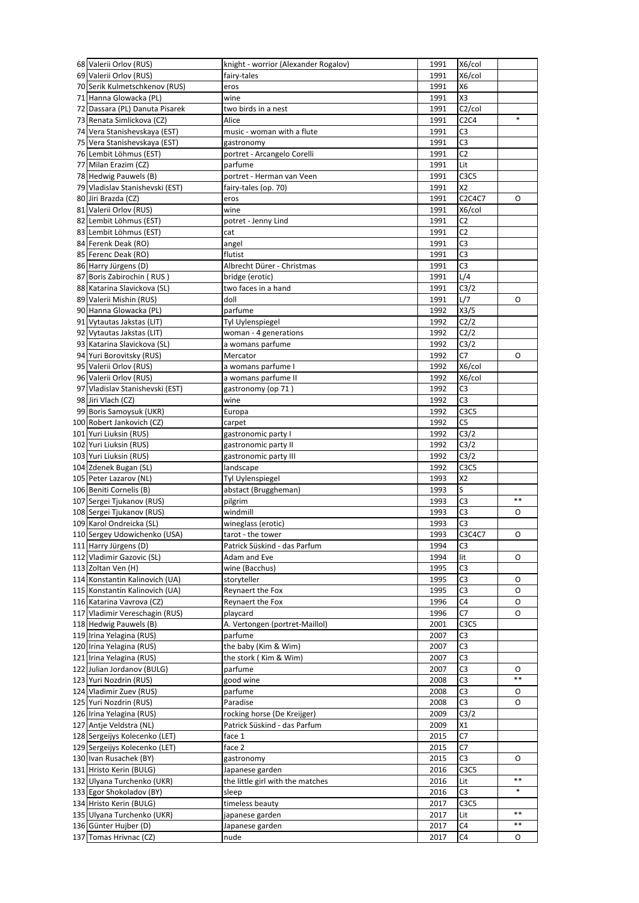| 68 Valerii Orlov (RUS)                          | knight - worrior (Alexander Rogalov) | 1991         | X6/col                        |         |
|-------------------------------------------------|--------------------------------------|--------------|-------------------------------|---------|
| 69 Valerii Orlov (RUS)                          | fairy-tales                          | 1991         | X6/col                        |         |
| 70 Serik Kulmetschkenov (RUS)                   | eros                                 | 1991         | X <sub>6</sub>                |         |
| 71 Hanna Glowacka (PL)                          | wine                                 | 1991         | X <sub>3</sub>                |         |
| 72 Dassara (PL) Danuta Pisarek                  | two birds in a nest                  | 1991         | C <sub>2</sub> /col           |         |
| 73 Renata Simlickova (CZ)                       | Alice                                | 1991         | C2C4                          | $\ast$  |
| 74 Vera Stanishevskaya (EST)                    | music - woman with a flute           | 1991         | C <sub>3</sub>                |         |
| 75 Vera Stanishevskaya (EST)                    | gastronomy                           | 1991         | C <sub>3</sub>                |         |
|                                                 |                                      | 1991         | C <sub>2</sub>                |         |
| 76 Lembit Löhmus (EST)                          | portret - Arcangelo Corelli          |              |                               |         |
| 77 Milan Erazim (CZ)                            | parfume                              | 1991         | Lit                           |         |
| 78 Hedwig Pauwels (B)                           | portret - Herman van Veen            | 1991         | C <sub>3</sub> C <sub>5</sub> |         |
| 79 Vladislav Stanishevski (EST)                 | fairy-tales (op. 70)                 | 1991         | <b>X2</b>                     |         |
| 80 Jiri Brazda (CZ)                             | eros                                 | 1991         | C2C4C7                        | O       |
| 81 Valerii Orlov (RUS)                          | wine                                 | 1991         | X6/col                        |         |
| 82 Lembit Löhmus (EST)                          | potret - Jenny Lind                  | 1991         | C2                            |         |
| 83 Lembit Löhmus (EST)                          | cat                                  | 1991         | C <sub>2</sub>                |         |
| 84 Ferenk Deak (RO)                             | angel                                | 1991         | C3                            |         |
| 85 Ferenc Deak (RO)                             | flutist                              | 1991         | C <sub>3</sub>                |         |
| 86 Harry Jürgens (D)                            | Albrecht Dürer - Christmas           | 1991         | C3                            |         |
| 87 Boris Zabirochin (RUS)                       | bridge (erotic)                      | 1991         | L/4                           |         |
| 88 Katarina Slavickova (SL)                     | two faces in a hand                  | 1991         | C3/2                          |         |
| 89 Valerii Mishin (RUS)                         | doll                                 | 1991         | L/7                           | O       |
| 90 Hanna Glowacka (PL)                          |                                      |              |                               |         |
|                                                 | parfume                              | 1992         | X3/5                          |         |
| 91 Vytautas Jakstas (LIT)                       | Tyl Uylenspiegel                     | 1992         | C2/2                          |         |
| 92 Vytautas Jakstas (LIT)                       | woman - 4 generations                | 1992         | C2/2                          |         |
| 93 Katarina Slavickova (SL)                     | a womans parfume                     | 1992         | C3/2                          |         |
| 94 Yuri Borovitsky (RUS)                        | Mercator                             | 1992         | C7                            | O       |
| 95 Valerii Orlov (RUS)                          | a womans parfume I                   | 1992         | X6/col                        |         |
| 96 Valerii Orlov (RUS)                          | a womans parfume II                  | 1992         | X6/col                        |         |
| 97 Vladislav Stanishevski (EST)                 | gastronomy (op 71)                   | 1992         | C3                            |         |
| 98 Jiri Vlach (CZ)                              | wine                                 | 1992         | C <sub>3</sub>                |         |
| 99 Boris Samoysuk (UKR)                         | Europa                               | 1992         | C <sub>3</sub> C <sub>5</sub> |         |
| 100 Robert Jankovich (CZ)                       | carpet                               | 1992         | C <sub>5</sub>                |         |
| 101 Yuri Liuksin (RUS)                          | gastronomic party I                  | 1992         | C <sub>3</sub> /2             |         |
| 102 Yuri Liuksin (RUS)                          |                                      | 1992         | C3/2                          |         |
| 103 Yuri Liuksin (RUS)                          | gastronomic party II                 |              | C3/2                          |         |
|                                                 | gastronomic party III                | 1992         |                               |         |
|                                                 |                                      |              |                               |         |
| 104 Zdenek Bugan (SL)                           | landscape                            | 1992         | C <sub>3</sub> C <sub>5</sub> |         |
| 105 Peter Lazarov (NL)                          | Tyl Uylenspiegel                     | 1993         | X <sub>2</sub>                |         |
| 106 Beniti Cornelis (B)                         | abstact (Bruggheman)                 | 1993         | S                             |         |
| 107 Sergei Tjukanov (RUS)                       | pilgrim                              | 1993         | C <sub>3</sub>                | $***$   |
| 108 Sergei Tjukanov (RUS)                       | windmill                             | 1993         | C3                            | 0       |
| 109 Karol Ondreicka (SL)                        | wineglass (erotic)                   | 1993         | C3                            |         |
| 110 Sergey Udowichenko (USA)                    | tarot - the tower                    | 1993         | C3C4C7                        | O       |
| 111 Harry Jürgens (D)                           | Patrick Süskind - das Parfum         | 1994         | C <sub>3</sub>                |         |
| 112 Vladimir Gazovic (SL)                       | Adam and Eve                         | 1994         | lit                           | O       |
| 113 Zoltan Ven (H)                              | wine (Bacchus)                       | 1995         | C3                            |         |
|                                                 |                                      |              |                               | 0       |
| 114 Konstantin Kalinovich (UA)                  | storyteller                          | 1995         | C <sub>3</sub>                |         |
| 115 Konstantin Kalinovich (UA)                  | Reynaert the Fox                     | 1995         | C <sub>3</sub>                | O       |
| 116 Katarina Vavrova (CZ)                       | Reynaert the Fox                     | 1996         | C4                            | 0       |
| 117 Vladimir Vereschagin (RUS)                  | playcard                             | 1996         | C7                            | 0       |
| 118 Hedwig Pauwels (B)                          | A. Vertongen (portret-Maillol)       | 2001         | C <sub>3</sub> C <sub>5</sub> |         |
| 119 Irina Yelagina (RUS)                        | parfume                              | 2007         | C <sub>3</sub>                |         |
| 120 Irina Yelagina (RUS)                        | the baby (Kim & Wim)                 | 2007         | C <sub>3</sub>                |         |
| 121 Irina Yelagina (RUS)                        | the stork (Kim & Wim)                | 2007         | C <sub>3</sub>                |         |
| 122 Julian Jordanov (BULG)                      | parfume                              | 2007         | C <sub>3</sub>                | 0       |
| 123 Yuri Nozdrin (RUS)                          | good wine                            | 2008         | C <sub>3</sub>                | **      |
| 124 Vladimir Zuev (RUS)                         | parfume                              | 2008         | C <sub>3</sub>                | 0       |
| 125 Yuri Nozdrin (RUS)                          | Paradise                             | 2008         | C3                            | O       |
| 126 Irina Yelagina (RUS)                        | rocking horse (De Kreijger)          | 2009         | C3/2                          |         |
| 127 Antje Veldstra (NL)                         | Patrick Süskind - das Parfum         | 2009         | X1                            |         |
| 128 Sergeijys Kolecenko (LET)                   | face 1                               | 2015         | C7                            |         |
|                                                 |                                      |              |                               |         |
| 129 Sergeijys Kolecenko (LET)                   | face 2                               | 2015         | C7                            |         |
| 130 Ivan Rusachek (BY)                          | gastronomy                           | 2015         | C <sub>3</sub>                | 0       |
| 131 Hristo Kerin (BULG)                         | Japanese garden                      | 2016         | C <sub>3</sub> C <sub>5</sub> | $***$   |
| 132 Ulyana Turchenko (UKR)                      | the little girl with the matches     | 2016         | Lit                           |         |
| 133 Egor Shokoladov (BY)                        | sleep                                | 2016         | C3                            | $\ast$  |
| 134 Hristo Kerin (BULG)                         | timeless beauty                      | 2017         | C <sub>3</sub> C <sub>5</sub> |         |
| 135 Ulyana Turchenko (UKR)                      | japanese garden                      | 2017         | Lit                           | $***$   |
| 136 Günter Hujber (D)<br>137 Tomas Hrivnac (CZ) | Japanese garden<br>nude              | 2017<br>2017 | C4<br>C4                      | **<br>0 |